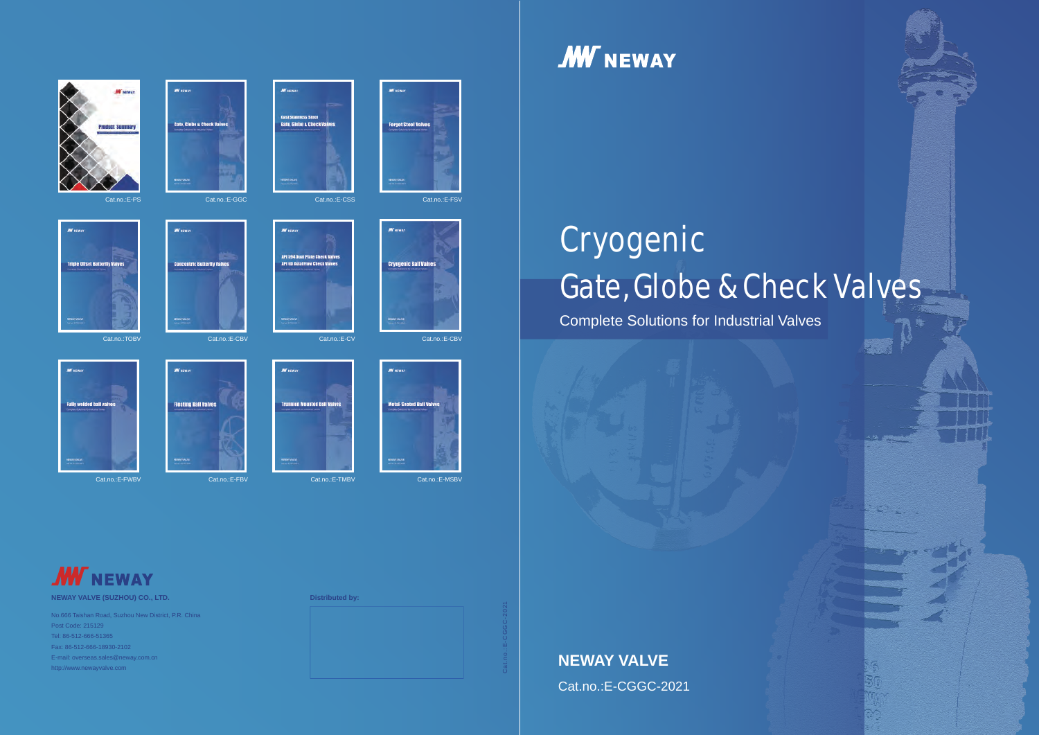





**MERCHE** 





**Fully welded ball valve** 



**MESON** 

**Floating Ball Valves** 







Metal-Seated Ball Valves

**M** scar

**MY** HEWAY

**MY** HEWE

**Cryogenic Ball Valves** 

**Forget Steel Valves** 

# Gate, Globe & Check Valves Cryogenic

Cat.no.:E-FWBV Cat.no.:E-FBV Cat.no.:E-TMBV Cat.no.:E-MSBV

**MV** NEWAY

Complete Solutions for Industrial Valves





Cat.no.:E-CGGC-2021

**NEWAY VALVE (SUZHOU) CO., LTD. Distributed by:**

No.666 Taishan Road, Suzhou New District, P.R. China Post Code: 215129 Tel: 86-512-666-51365 Fax: 86-512-666-18930-2102 E-mail: overseas.sales@neway.com.cn



Cat.no.:E-CGGC-2021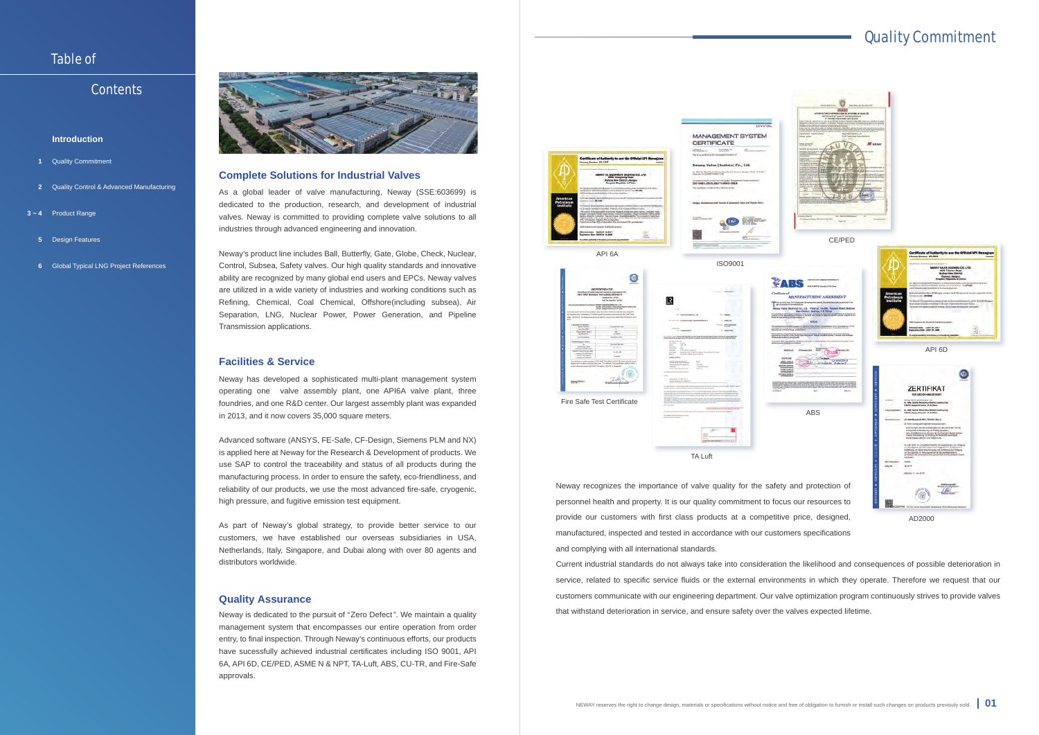# Quality Commitment

#### **Introduction**

## Table of

### **Contents**

#### **Complete Solutions for Industrial Valves**

#### **Facilities & Service**

#### **Quality Assurance**

As a global leader of valve manufacturing, Neway (SSE:603699) is dedicated to the production, research, and development of industrial valves. Neway is committed to providing complete valve solutions to all industries through advanced engineering and innovation.

Neway's product line includes Ball, Butterfly, Gate, Globe, Check, Nuclear, Control, Subsea, Safety valves. Our high quality standards and innovative ability are recognized by many global end users and EPCs. Neway valves are utilized in a wide variety of industries and working conditions such as Refining, Chemical, Coal Chemical, Offshore(including subsea), Air Separation, LNG, Nuclear Power, Power Generation, and Pipeline Transmission applications.

Neway is dedicated to the pursuit of "Zero Defect". We maintain a quality management system that encompasses our entire operation from order entry, to final inspection. Through Neway's continuous efforts, our products have sucessfully achieved industrial certificates including ISO 9001, API 6A, API 6D, CE/PED, ASME N & NPT, TA-Luft, ABS, CU-TR, and Fire-Safe approvals.

Neway has developed a sophisticated multi-plant management system operating one valve assembly plant, one API6A valve plant, three foundries, and one R&D center. Our largest assembly plant was expanded in 2013, and it now covers 35,000 square meters.

- Quality Commitment **1**
- Quality Control & Advanced Manufacturing **2**
- **3 ~ 4** Product Range
- **5** Design Features
- **6** Global Typical LNG Project References



Advanced software (ANSYS, FE-Safe, CF-Design, Siemens PLM and NX) is applied here at Neway for the Research & Development of products. We use SAP to control the traceability and status of all products during the manufacturing process. In order to ensure the safety, eco-friendliness, and reliability of our products, we use the most advanced fire-safe, cryogenic, high pressure, and fugitive emission test equipment.

As part of Neway's global strategy, to provide better service to our customers, we have established our overseas subsidiaries in USA, Netherlands, Italy, Singapore, and Dubai along with over 80 agents and distributors worldwide.

Neway recognizes the importance of valve quality for the safety and protection of personnel health and property. It is our quality commitment to focus our resources to provide our customers with first class products at a competitive price, designed, manufactured, inspected and tested in accordance with our customers specifications and complying with all international standards.

Current industrial standards do not always take into consideration the likelihood and consequences of possible deterioration in service, related to specific service fluids or the external environments in which they operate. Therefore we request that our customers communicate with our engineering department. Our valve optimization program continuously strives to provide valves that withstand deterioration in service, and ensure safety over the valves expected lifetime.



TA Luft

AD2000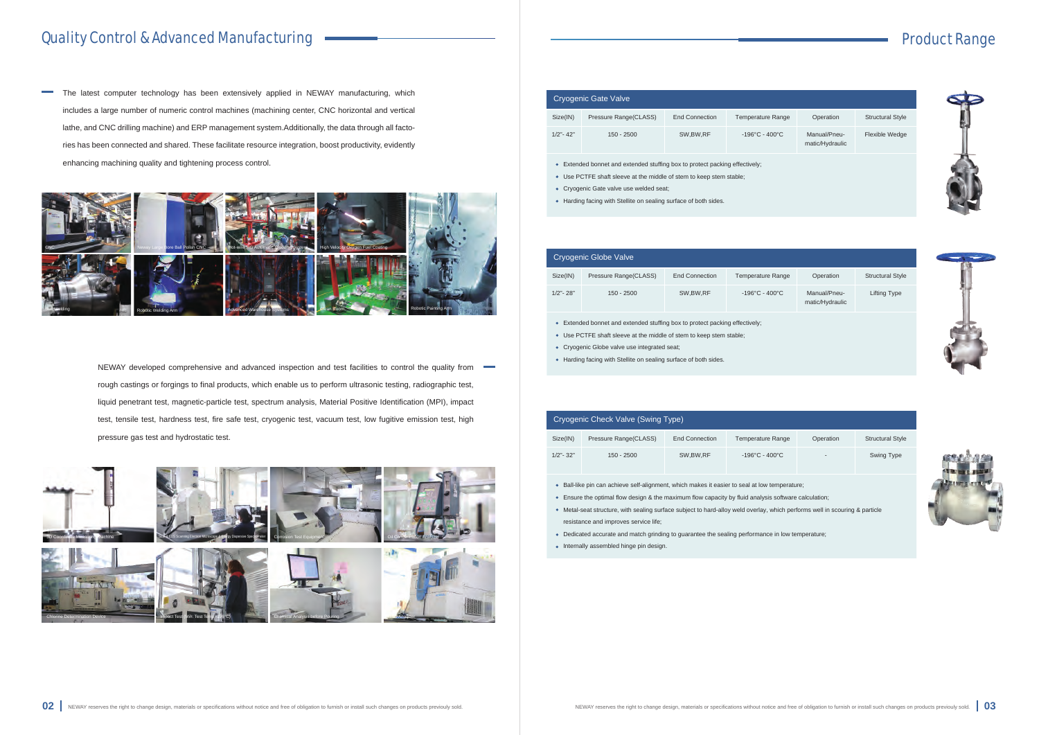# Product Range







# Quality Control & Advanced Manufacturing

The latest computer technology has been extensively applied in NEWAY manufacturing, which  $\sim$ includes a large number of numeric control machines (machining center, CNC horizontal and vertical lathe, and CNC drilling machine) and ERP management system.Additionally, the data through all factories has been connected and shared. These facilitate resource integration, boost productivity, evidently enhancing machining quality and tightening process control.

> NEWAY developed comprehensive and advanced inspection and test facilities to control the quality from  $\blacksquare$ rough castings or forgings to final products, which enable us to perform ultrasonic testing, radiographic test, liquid penetrant test, magnetic-particle test, spectrum analysis, Material Positive Identification (MPI), impact test, tensile test, hardness test, fire safe test, cryogenic test, vacuum test, low fugitive emission test, high pressure gas test and hydrostatic test.

- Ball-like pin can achieve self-alignment, which makes it easier to seal at low temperature;
- Ensure the optimal flow design & the maximum flow capacity by fluid analysis software calculation;
- Metal-seat structure, with sealing surface subject to hard-alloy weld overlay, which performs well in scouring & particle resistance and improves service life;
- Dedicated accurate and match grinding to guarantee the sealing performance in low temperature;
- Internally assembled hinge pin design.





| Cryogenic Gate Valve                                                                                                                                             |                       |                       |                                     |                                 |                         |  |  |
|------------------------------------------------------------------------------------------------------------------------------------------------------------------|-----------------------|-----------------------|-------------------------------------|---------------------------------|-------------------------|--|--|
| Size(IN)                                                                                                                                                         | Pressure Range(CLASS) | <b>End Connection</b> | <b>Temperature Range</b>            | Operation                       | <b>Structural Style</b> |  |  |
| $1/2" - 42"$                                                                                                                                                     | $150 - 2500$          | SW, BW, RF            | $-196^{\circ}$ C - 400 $^{\circ}$ C | Manual/Pneu-<br>matic/Hydraulic | <b>Flexible Wedge</b>   |  |  |
| Extended bonnet and extended stuffing box to protect packing effectively;<br>$\bullet$<br>Use PCTFE shaft sleeve at the middle of stem to keep stem stable;<br>٠ |                       |                       |                                     |                                 |                         |  |  |

- 
- Cryogenic Gate valve use welded seat;
- Harding facing with Stellite on sealing surface of both sides.

| Cryogenic Globe Valve |                       |                |                                    |                                 |                         |  |  |
|-----------------------|-----------------------|----------------|------------------------------------|---------------------------------|-------------------------|--|--|
| Size(IN)              | Pressure Range(CLASS) | End Connection | <b>Temperature Range</b>           | Operation                       | <b>Structural Style</b> |  |  |
| $1/2"$ - 28"          | $150 - 2500$          | SW, BW, RF     | $-196^{\circ}$ C - $400^{\circ}$ C | Manual/Pneu-<br>matic/Hydraulic | Lifting Type            |  |  |

Extended bonnet and extended stuffing box to protect packing effectively;

- Use PCTFE shaft sleeve at the middle of stem to keep stem stable;
- Cryogenic Globe valve use integrated seat;
- Harding facing with Stellite on sealing surface of both sides.

| Cryogenic Check Valve (Swing Type) |                       |                |                                    |                          |                         |  |  |
|------------------------------------|-----------------------|----------------|------------------------------------|--------------------------|-------------------------|--|--|
| Size(IN)                           | Pressure Range(CLASS) | End Connection | <b>Temperature Range</b>           | Operation                | <b>Structural Style</b> |  |  |
| $1/2$ "- 32"                       | $150 - 2500$          | SW, BW, RF     | $-196^{\circ}$ C - $400^{\circ}$ C | $\overline{\phantom{0}}$ | Swing Type              |  |  |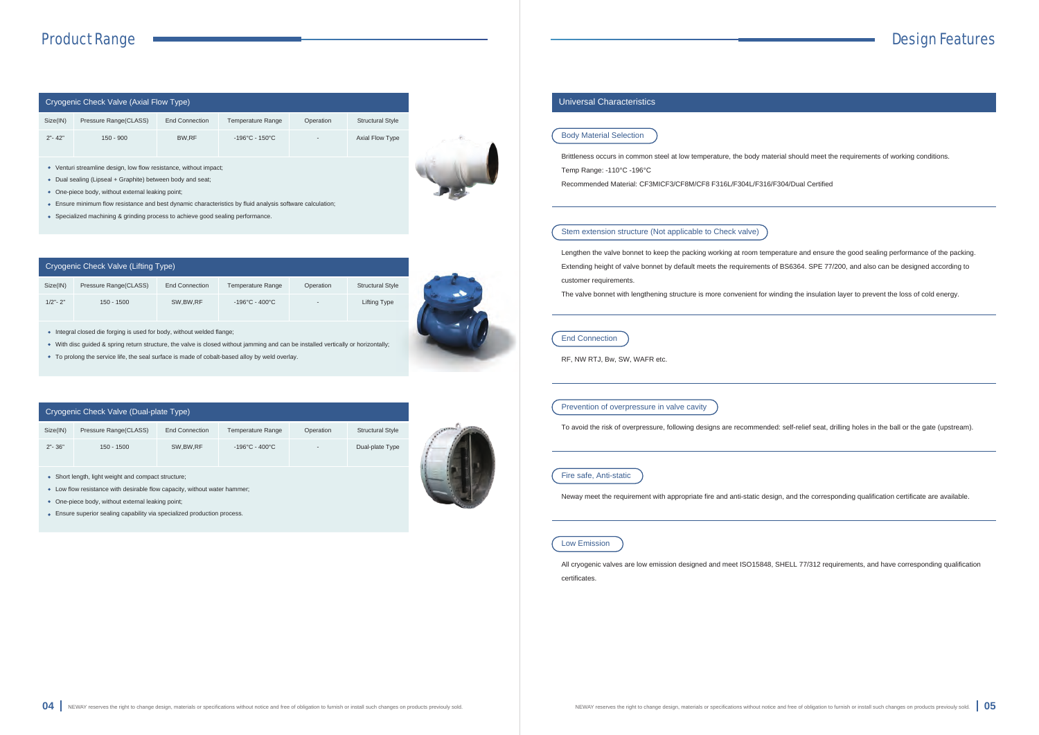

| Size(IN)<br>Pressure Range(CLASS)<br>End Connection<br><b>Structural Style</b><br><b>Temperature Range</b><br>Operation<br>$2" - 42"$<br>$-196^{\circ}$ C - 150 $^{\circ}$ C<br>BW.RF<br>$150 - 900$<br><b>Axial Flow Type</b> | Cryogenic Check Valve (Axial Flow Type) |  |  |  |  |  |  |  |
|--------------------------------------------------------------------------------------------------------------------------------------------------------------------------------------------------------------------------------|-----------------------------------------|--|--|--|--|--|--|--|
|                                                                                                                                                                                                                                |                                         |  |  |  |  |  |  |  |
|                                                                                                                                                                                                                                |                                         |  |  |  |  |  |  |  |

- Integral closed die forging is used for body, without welded flange;
- With disc guided & spring return structure, the valve is closed without jamming and can be installed vertically or horizontally;
- To prolong the service life, the seal surface is made of cobalt-based alloy by weld overlay.
- Venturi streamline design, low flow resistance, without impact;
- Dual sealing (Lipseal + Graphite) between body and seat;
- One-piece body, without external leaking point;
- Ensure minimum flow resistance and best dynamic characteristics by fluid analysis software calculation;
- Specialized machining & grinding process to achieve good sealing performance.

- Low flow resistance with desirable flow capacity, without water hammer;
- One-piece body, without external leaking point;
- Ensure superior sealing capability via specialized production process.



#### **Universal Characteristics**

#### Cryogenic Check Valve (Lifting Type)

| Size(IN)    | Pressure Range (CLASS) | <b>End Connection</b> | Temperature Range                  | Operation                | <b>Structural Style</b> |
|-------------|------------------------|-----------------------|------------------------------------|--------------------------|-------------------------|
| $1/2"$ - 2" | $150 - 1500$           | SW, BW, RF            | $-196^{\circ}$ C - $400^{\circ}$ C | $\overline{\phantom{a}}$ | Lifting Type            |

#### Cryogenic Check Valve (Dual-plate Type)

| Size(IN)   | Pressure Range (CLASS) | <b>End Connection</b> | <b>Temperature Range</b>           | Operation                | <b>Structural Style</b> |
|------------|------------------------|-----------------------|------------------------------------|--------------------------|-------------------------|
| $2" - 36"$ | $150 - 1500$           | SW.BW.RF              | $-196^{\circ}$ C - $400^{\circ}$ C | $\overline{\phantom{a}}$ | Dual-plate Type         |



#### Body Material Selection

Brittleness occurs in common steel at low temperature, the body material should meet the requirements of working conditions. Temp Range: -110°C -196°C

Recommended Material: CF3MICF3/CF8M/CF8 F316L/F304L/F316/F304/Dual Certified

#### Stem extension structure (Not applicable to Check valve)

Lengthen the valve bonnet to keep the packing working at room temperature and ensure the good sealing performance of the packing. Extending height of valve bonnet by default meets the requirements of BS6364. SPE 77/200, and also can be designed according to customer requirements.

The valve bonnet with lengthening structure is more convenient for winding the insulation layer to prevent the loss of cold energy.

#### End Connection

RF, NW RTJ, Bw, SW, WAFR etc.

#### Prevention of overpressure in valve cavity

To avoid the risk of overpressure, following designs are recommended: self-relief seat, drilling holes in the ball or the gate (upstream).

#### Fire safe, Anti-static

Neway meet the requirement with appropriate fire and anti-static design, and the corresponding qualification certificate are available.

#### Low Emission

All cryogenic valves are low emission designed and meet ISO15848, SHELL 77/312 requirements, and have corresponding qualification certificates.